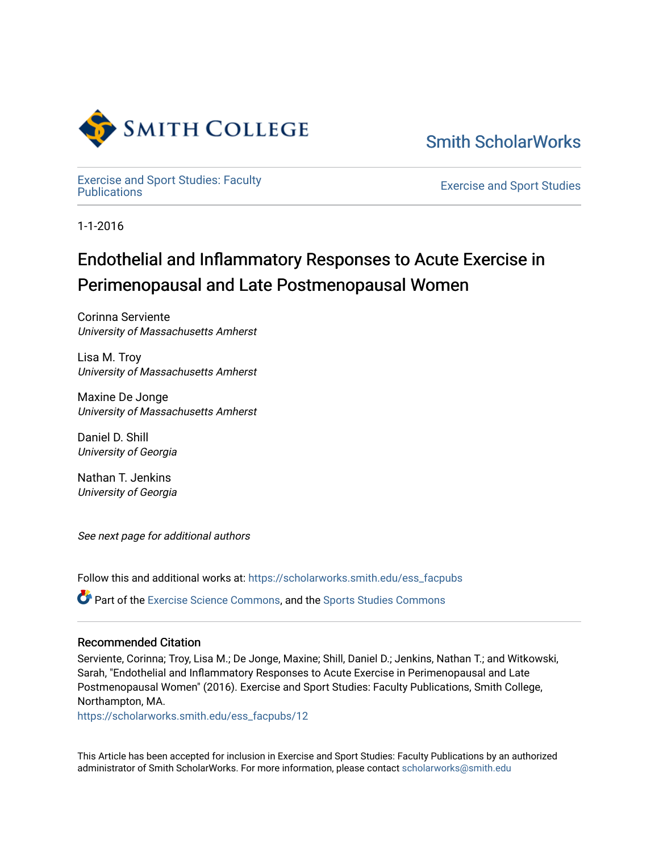

[Smith ScholarWorks](https://scholarworks.smith.edu/) 

[Exercise and Sport Studies: Faculty](https://scholarworks.smith.edu/ess_facpubs)

**Exercise and Sport Studies** 

1-1-2016

# Endothelial and Inflammatory Responses to Acute Exercise in Perimenopausal and Late Postmenopausal Women

Corinna Serviente University of Massachusetts Amherst

Lisa M. Troy University of Massachusetts Amherst

Maxine De Jonge University of Massachusetts Amherst

Daniel D. Shill University of Georgia

Nathan T. Jenkins University of Georgia

See next page for additional authors

Follow this and additional works at: [https://scholarworks.smith.edu/ess\\_facpubs](https://scholarworks.smith.edu/ess_facpubs?utm_source=scholarworks.smith.edu%2Fess_facpubs%2F12&utm_medium=PDF&utm_campaign=PDFCoverPages)

**C**<sup> $\bullet$ </sup> Part of the [Exercise Science Commons](http://network.bepress.com/hgg/discipline/1091?utm_source=scholarworks.smith.edu%2Fess_facpubs%2F12&utm_medium=PDF&utm_campaign=PDFCoverPages), and the [Sports Studies Commons](http://network.bepress.com/hgg/discipline/1198?utm_source=scholarworks.smith.edu%2Fess_facpubs%2F12&utm_medium=PDF&utm_campaign=PDFCoverPages)

## Recommended Citation

Serviente, Corinna; Troy, Lisa M.; De Jonge, Maxine; Shill, Daniel D.; Jenkins, Nathan T.; and Witkowski, Sarah, "Endothelial and Inflammatory Responses to Acute Exercise in Perimenopausal and Late Postmenopausal Women" (2016). Exercise and Sport Studies: Faculty Publications, Smith College, Northampton, MA.

[https://scholarworks.smith.edu/ess\\_facpubs/12](https://scholarworks.smith.edu/ess_facpubs/12?utm_source=scholarworks.smith.edu%2Fess_facpubs%2F12&utm_medium=PDF&utm_campaign=PDFCoverPages) 

This Article has been accepted for inclusion in Exercise and Sport Studies: Faculty Publications by an authorized administrator of Smith ScholarWorks. For more information, please contact [scholarworks@smith.edu](mailto:scholarworks@smith.edu)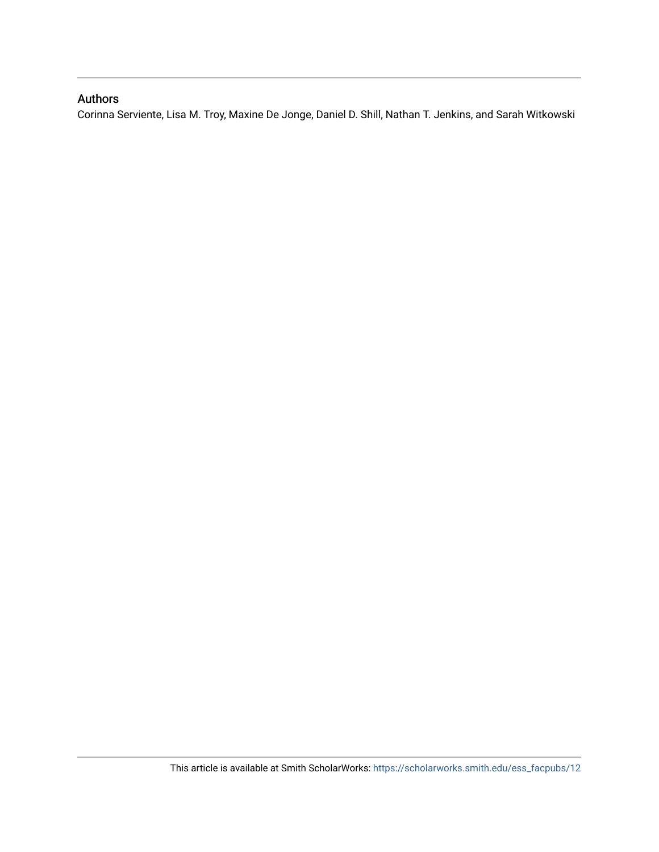## Authors

Corinna Serviente, Lisa M. Troy, Maxine De Jonge, Daniel D. Shill, Nathan T. Jenkins, and Sarah Witkowski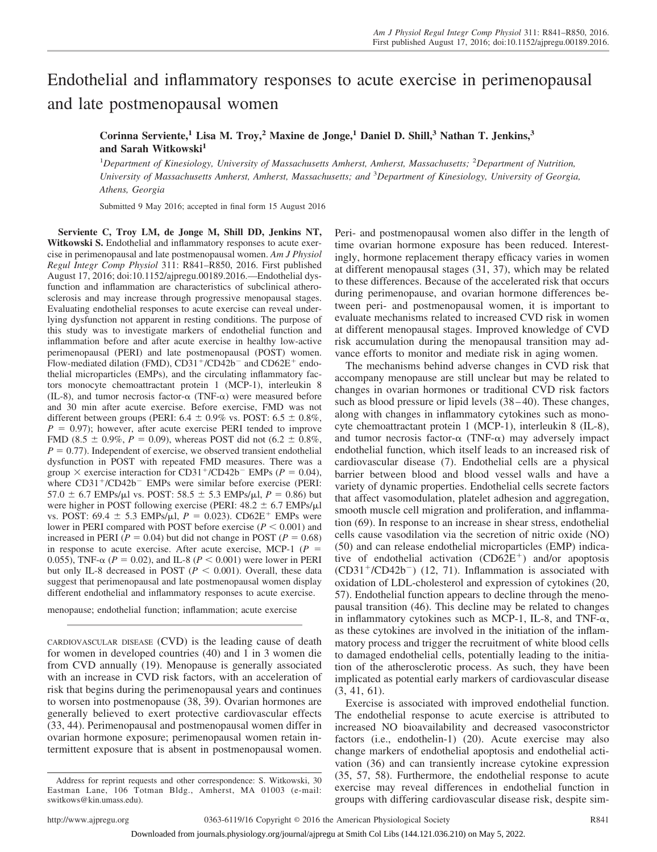# Endothelial and inflammatory responses to acute exercise in perimenopausal and late postmenopausal women

**Corinna Serviente,<sup>1</sup> Lisa M. Troy,<sup>2</sup> Maxine de Jonge,<sup>1</sup> Daniel D. Shill,<sup>3</sup> Nathan T. Jenkins,<sup>3</sup> and Sarah Witkowski<sup>1</sup>**

1 *Department of Kinesiology, University of Massachusetts Amherst, Amherst, Massachusetts;* <sup>2</sup> *Department of Nutrition, University of Massachusetts Amherst, Amherst, Massachusetts; and* <sup>3</sup> *Department of Kinesiology, University of Georgia, Athens, Georgia*

Submitted 9 May 2016; accepted in final form 15 August 2016

**Serviente C, Troy LM, de Jonge M, Shill DD, Jenkins NT, Witkowski S.** Endothelial and inflammatory responses to acute exercise in perimenopausal and late postmenopausal women. *Am J Physiol Regul Integr Comp Physiol* 311: R841–R850, 2016. First published August 17, 2016; doi:10.1152/ajpregu.00189.2016.—Endothelial dysfunction and inflammation are characteristics of subclinical atherosclerosis and may increase through progressive menopausal stages. Evaluating endothelial responses to acute exercise can reveal underlying dysfunction not apparent in resting conditions. The purpose of this study was to investigate markers of endothelial function and inflammation before and after acute exercise in healthy low-active perimenopausal (PERI) and late postmenopausal (POST) women. Flow-mediated dilation (FMD),  $CD31+/CD42b$ <sup>-</sup> and  $CD62E$ <sup>+</sup> endothelial microparticles (EMPs), and the circulating inflammatory factors monocyte chemoattractant protein 1 (MCP-1), interleukin 8 (IL-8), and tumor necrosis factor- $\alpha$  (TNF- $\alpha$ ) were measured before and 30 min after acute exercise. Before exercise, FMD was not different between groups (PERI:  $6.4 \pm 0.9\%$  vs. POST:  $6.5 \pm 0.8\%$ ,  $P = 0.97$ ; however, after acute exercise PERI tended to improve FMD (8.5  $\pm$  0.9%, *P* = 0.09), whereas POST did not (6.2  $\pm$  0.8%,  $P = 0.77$ ). Independent of exercise, we observed transient endothelial dysfunction in POST with repeated FMD measures. There was a group  $\times$  exercise interaction for CD31<sup>+</sup>/CD42b<sup>-</sup> EMPs ( $P = 0.04$ ), where CD31<sup>+</sup>/CD42b<sup>-</sup> EMPs were similar before exercise (PERI: 57.0  $\pm$  6.7 EMPs/ $\mu$ l vs. POST: 58.5  $\pm$  5.3 EMPs/ $\mu$ l, *P* = 0.86) but were higher in POST following exercise (PERI:  $48.2 \pm 6.7$  EMPs/ $\mu$ l vs. POST: 69.4  $\pm$  5.3 EMPs/ $\mu$ l, *P* = 0.023). CD62E<sup>+</sup> EMPs were lower in PERI compared with POST before exercise  $(P < 0.001)$  and increased in PERI ( $P = 0.04$ ) but did not change in POST ( $P = 0.68$ ) in response to acute exercise. After acute exercise, MCP-1 (*P* 0.055), TNF- $\alpha$  ( $P = 0.02$ ), and IL-8 ( $P < 0.001$ ) were lower in PERI but only IL-8 decreased in POST ( $P < 0.001$ ). Overall, these data suggest that perimenopausal and late postmenopausal women display different endothelial and inflammatory responses to acute exercise.

menopause; endothelial function; inflammation; acute exercise

CARDIOVASCULAR DISEASE (CVD) is the leading cause of death for women in developed countries (40) and 1 in 3 women die from CVD annually (19). Menopause is generally associated with an increase in CVD risk factors, with an acceleration of risk that begins during the perimenopausal years and continues to worsen into postmenopause (38, 39). Ovarian hormones are generally believed to exert protective cardiovascular effects (33, 44). Perimenopausal and postmenopausal women differ in ovarian hormone exposure; perimenopausal women retain intermittent exposure that is absent in postmenopausal women.

Peri- and postmenopausal women also differ in the length of time ovarian hormone exposure has been reduced. Interestingly, hormone replacement therapy efficacy varies in women at different menopausal stages (31, 37), which may be related to these differences. Because of the accelerated risk that occurs during perimenopause, and ovarian hormone differences between peri- and postmenopausal women, it is important to evaluate mechanisms related to increased CVD risk in women at different menopausal stages. Improved knowledge of CVD risk accumulation during the menopausal transition may advance efforts to monitor and mediate risk in aging women.

The mechanisms behind adverse changes in CVD risk that accompany menopause are still unclear but may be related to changes in ovarian hormones or traditional CVD risk factors such as blood pressure or lipid levels  $(38-40)$ . These changes, along with changes in inflammatory cytokines such as monocyte chemoattractant protein 1 (MCP-1), interleukin 8 (IL-8), and tumor necrosis factor- $\alpha$  (TNF- $\alpha$ ) may adversely impact endothelial function, which itself leads to an increased risk of cardiovascular disease (7). Endothelial cells are a physical barrier between blood and blood vessel walls and have a variety of dynamic properties. Endothelial cells secrete factors that affect vasomodulation, platelet adhesion and aggregation, smooth muscle cell migration and proliferation, and inflammation (69). In response to an increase in shear stress, endothelial cells cause vasodilation via the secretion of nitric oxide (NO) (50) and can release endothelial microparticles (EMP) indicative of endothelial activation  $(CD62E^+)$  and/or apoptosis  $(CD31<sup>+</sup>/CD42b<sup>-</sup>)$  (12, 71). Inflammation is associated with oxidation of LDL-cholesterol and expression of cytokines (20, 57). Endothelial function appears to decline through the menopausal transition (46). This decline may be related to changes in inflammatory cytokines such as MCP-1, IL-8, and TNF- $\alpha$ , as these cytokines are involved in the initiation of the inflammatory process and trigger the recruitment of white blood cells to damaged endothelial cells, potentially leading to the initiation of the atherosclerotic process. As such, they have been implicated as potential early markers of cardiovascular disease (3, 41, 61).

Exercise is associated with improved endothelial function. The endothelial response to acute exercise is attributed to increased NO bioavailability and decreased vasoconstrictor factors (i.e., endothelin-1) (20). Acute exercise may also change markers of endothelial apoptosis and endothelial activation (36) and can transiently increase cytokine expression (35, 57, 58). Furthermore, the endothelial response to acute exercise may reveal differences in endothelial function in groups with differing cardiovascular disease risk, despite sim-

Address for reprint requests and other correspondence: S. Witkowski, 30 Eastman Lane, 106 Totman Bldg., Amherst, MA 01003 (e-mail: [switkows@kin.umass.edu\)](mailto:switkows@kin.umass.edu).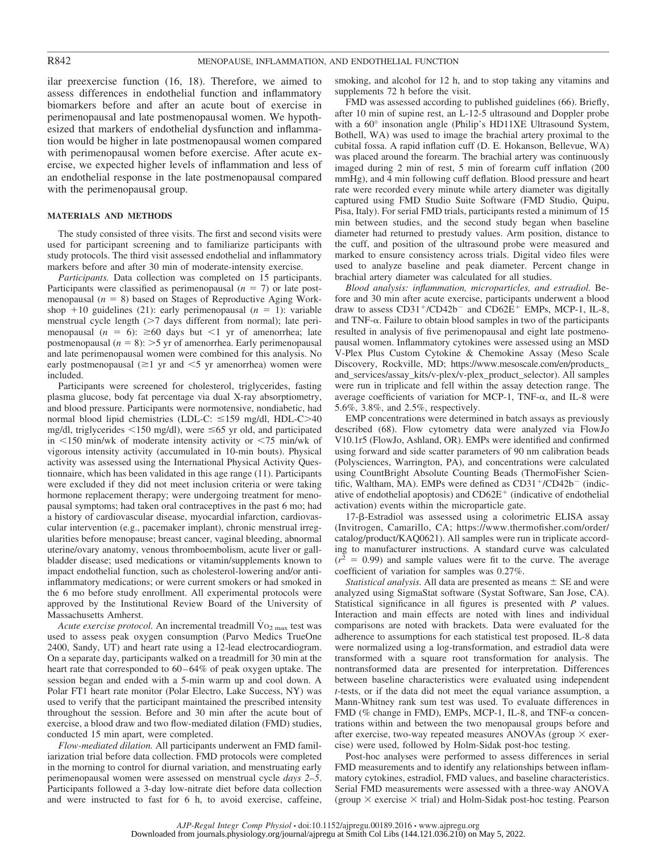ilar preexercise function (16, 18). Therefore, we aimed to assess differences in endothelial function and inflammatory biomarkers before and after an acute bout of exercise in perimenopausal and late postmenopausal women. We hypothesized that markers of endothelial dysfunction and inflammation would be higher in late postmenopausal women compared with perimenopausal women before exercise. After acute exercise, we expected higher levels of inflammation and less of an endothelial response in the late postmenopausal compared with the perimenopausal group.

#### **MATERIALS AND METHODS**

The study consisted of three visits. The first and second visits were used for participant screening and to familiarize participants with study protocols. The third visit assessed endothelial and inflammatory markers before and after 30 min of moderate-intensity exercise.

*Participants.* Data collection was completed on 15 participants. Participants were classified as perimenopausal  $(n = 7)$  or late postmenopausal  $(n = 8)$  based on Stages of Reproductive Aging Workshop  $+10$  guidelines (21): early perimenopausal ( $n = 1$ ): variable menstrual cycle length ( 7 days different from normal); late perimenopausal  $(n = 6)$ :  $\geq 60$  days but <1 yr of amenorrhea; late postmenopausal  $(n = 8)$ : > 5 yr of amenorrhea. Early perimenopausal and late perimenopausal women were combined for this analysis. No early postmenopausal  $(\geq 1$  yr and  $\leq 5$  yr amenorrhea) women were included.

Participants were screened for cholesterol, triglycerides, fasting plasma glucose, body fat percentage via dual X-ray absorptiometry, and blood pressure. Participants were normotensive, nondiabetic, had normal blood lipid chemistries (LDL-C: ≤159 mg/dl, HDL-C>40 mg/dl, triglycerides  $\leq$ 150 mg/dl), were  $\leq$ 65 yr old, and participated in  $\leq$ 150 min/wk of moderate intensity activity or  $\leq$ 75 min/wk of vigorous intensity activity (accumulated in 10-min bouts). Physical activity was assessed using the International Physical Activity Questionnaire, which has been validated in this age range (11). Participants were excluded if they did not meet inclusion criteria or were taking hormone replacement therapy; were undergoing treatment for menopausal symptoms; had taken oral contraceptives in the past 6 mo; had a history of cardiovascular disease, myocardial infarction, cardiovascular intervention (e.g., pacemaker implant), chronic menstrual irregularities before menopause; breast cancer, vaginal bleeding, abnormal uterine/ovary anatomy, venous thromboembolism, acute liver or gallbladder disease; used medications or vitamin/supplements known to impact endothelial function, such as cholesterol-lowering and/or antiinflammatory medications; or were current smokers or had smoked in the 6 mo before study enrollment. All experimental protocols were approved by the Institutional Review Board of the University of Massachusetts Amherst.

*Acute exercise protocol.* An incremental treadmill VO<sub>2 max</sub> test was used to assess peak oxygen consumption (Parvo Medics TrueOne 2400, Sandy, UT) and heart rate using a 12-lead electrocardiogram. On a separate day, participants walked on a treadmill for 30 min at the heart rate that corresponded to  $60-64\%$  of peak oxygen uptake. The session began and ended with a 5-min warm up and cool down. A Polar FT1 heart rate monitor (Polar Electro, Lake Success, NY) was used to verify that the participant maintained the prescribed intensity throughout the session. Before and 30 min after the acute bout of exercise, a blood draw and two flow-mediated dilation (FMD) studies, conducted 15 min apart, were completed.

*Flow-mediated dilation.* All participants underwent an FMD familiarization trial before data collection. FMD protocols were completed in the morning to control for diurnal variation, and menstruating early perimenopausal women were assessed on menstrual cycle *days 2–5*. Participants followed a 3-day low-nitrate diet before data collection and were instructed to fast for 6 h, to avoid exercise, caffeine, smoking, and alcohol for 12 h, and to stop taking any vitamins and supplements 72 h before the visit.

FMD was assessed according to published guidelines (66). Briefly, after 10 min of supine rest, an L-12-5 ultrasound and Doppler probe with a 60° insonation angle (Philip's HD11XE Ultrasound System, Bothell, WA) was used to image the brachial artery proximal to the cubital fossa. A rapid inflation cuff (D. E. Hokanson, Bellevue, WA) was placed around the forearm. The brachial artery was continuously imaged during 2 min of rest, 5 min of forearm cuff inflation (200 mmHg), and 4 min following cuff deflation. Blood pressure and heart rate were recorded every minute while artery diameter was digitally captured using FMD Studio Suite Software (FMD Studio, Quipu, Pisa, Italy). For serial FMD trials, participants rested a minimum of 15 min between studies, and the second study began when baseline diameter had returned to prestudy values. Arm position, distance to the cuff, and position of the ultrasound probe were measured and marked to ensure consistency across trials. Digital video files were used to analyze baseline and peak diameter. Percent change in brachial artery diameter was calculated for all studies.

*Blood analysis: inflammation, microparticles, and estradiol.* Before and 30 min after acute exercise, participants underwent a blood draw to assess  $CD31^+/CD42b^-$  and  $CD62E^+$  EMPs, MCP-1, IL-8, and  $TNF-\alpha$ . Failure to obtain blood samples in two of the participants resulted in analysis of five perimenopausal and eight late postmenopausal women. Inflammatory cytokines were assessed using an MSD V-Plex Plus Custom Cytokine & Chemokine Assay (Meso Scale Discovery, Rockville, MD; [https://www.mesoscale.com/en/products\\_](https://www.mesoscale.com/en/products_and_services/assay_kits/v-plex/v-plex_product_selector) [and\\_services/assay\\_kits/v-plex/v-plex\\_product\\_selector\)](https://www.mesoscale.com/en/products_and_services/assay_kits/v-plex/v-plex_product_selector). All samples were run in triplicate and fell within the assay detection range. The average coefficients of variation for MCP-1, TNF- $\alpha$ , and IL-8 were 5.6%, 3.8%, and 2.5%, respectively.

EMP concentrations were determined in batch assays as previously described (68). Flow cytometry data were analyzed via FlowJo V10.1r5 (FlowJo, Ashland, OR). EMPs were identified and confirmed using forward and side scatter parameters of 90 nm calibration beads (Polysciences, Warrington, PA), and concentrations were calculated using CountBright Absolute Counting Beads (ThermoFisher Scientific, Waltham, MA). EMPs were defined as  $CD31<sup>+</sup>/CD42b<sup>-</sup>$  (indicative of endothelial apoptosis) and CD62E<sup>+</sup> (indicative of endothelial activation) events within the microparticle gate.

17-β-Estradiol was assessed using a colorimetric ELISA assay (Invitrogen, Camarillo, CA; [https://www.thermofisher.com/order/](https://www.thermofisher.com/order/catalog/product/KAQ0621) [catalog/product/KAQ0621\)](https://www.thermofisher.com/order/catalog/product/KAQ0621). All samples were run in triplicate according to manufacturer instructions. A standard curve was calculated  $(r^2 = 0.99)$  and sample values were fit to the curve. The average coefficient of variation for samples was 0.27%.

*Statistical analysis.* All data are presented as means  $\pm$  SE and were analyzed using SigmaStat software (Systat Software, San Jose, CA). Statistical significance in all figures is presented with *P* values. Interaction and main effects are noted with lines and individual comparisons are noted with brackets. Data were evaluated for the adherence to assumptions for each statistical test proposed. IL-8 data were normalized using a log-transformation, and estradiol data were transformed with a square root transformation for analysis. The nontransformed data are presented for interpretation. Differences between baseline characteristics were evaluated using independent *t*-tests, or if the data did not meet the equal variance assumption, a Mann-Whitney rank sum test was used. To evaluate differences in FMD (% change in FMD), EMPs, MCP-1, IL-8, and TNF- $\alpha$  concentrations within and between the two menopausal groups before and after exercise, two-way repeated measures ANOVAs (group  $\times$  exercise) were used, followed by Holm-Sidak post-hoc testing.

Post-hoc analyses were performed to assess differences in serial FMD measurements and to identify any relationships between inflammatory cytokines, estradiol, FMD values, and baseline characteristics. Serial FMD measurements were assessed with a three-way ANOVA (group  $\times$  exercise  $\times$  trial) and Holm-Sidak post-hoc testing. Pearson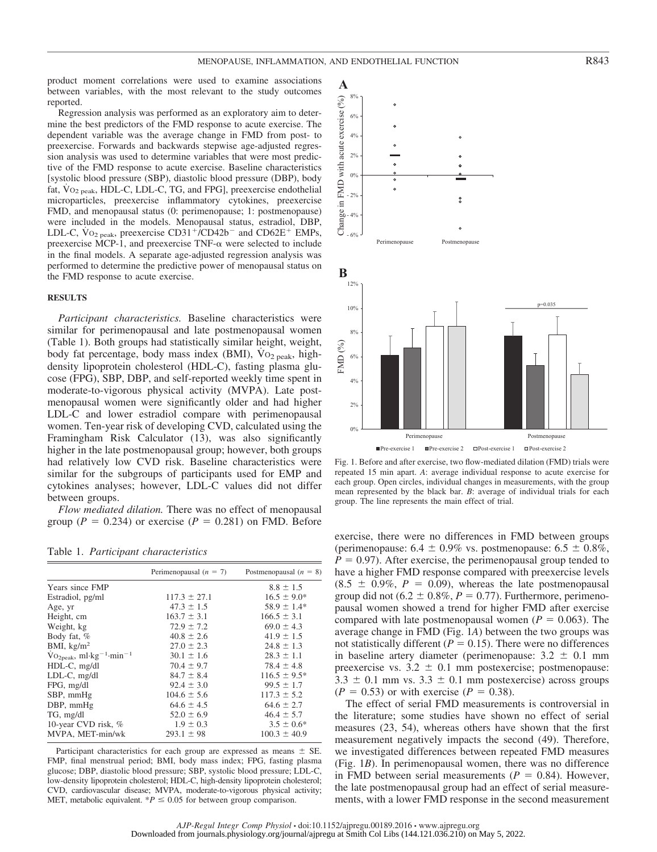product moment correlations were used to examine associations between variables, with the most relevant to the study outcomes reported.

Regression analysis was performed as an exploratory aim to determine the best predictors of the FMD response to acute exercise. The dependent variable was the average change in FMD from post- to preexercise. Forwards and backwards stepwise age-adjusted regression analysis was used to determine variables that were most predictive of the FMD response to acute exercise. Baseline characteristics [systolic blood pressure (SBP), diastolic blood pressure (DBP), body fat,  $\overline{V}O_{2 \text{ peak}}$ , HDL-C, LDL-C, TG, and FPG], preexercise endothelial microparticles, preexercise inflammatory cytokines, preexercise FMD, and menopausal status (0: perimenopause; 1: postmenopause) were included in the models. Menopausal status, estradiol, DBP, LDL-C,  $\text{V}_{\text{O}_2 \text{ peak}}$ , preexercise CD31<sup>+</sup>/CD42b<sup>-</sup> and CD62E<sup>+</sup> EMPs, preexercise MCP-1, and preexercise TNF- $\alpha$  were selected to include in the final models. A separate age-adjusted regression analysis was performed to determine the predictive power of menopausal status on the FMD response to acute exercise.

#### **RESULTS**

*Participant characteristics.* Baseline characteristics were similar for perimenopausal and late postmenopausal women (Table 1). Both groups had statistically similar height, weight, body fat percentage, body mass index (BMI),  $\mathrm{Vo}_{2 \text{ peak}}$ , highdensity lipoprotein cholesterol (HDL-C), fasting plasma glucose (FPG), SBP, DBP, and self-reported weekly time spent in moderate-to-vigorous physical activity (MVPA). Late postmenopausal women were significantly older and had higher LDL-C and lower estradiol compare with perimenopausal women. Ten-year risk of developing CVD, calculated using the Framingham Risk Calculator (13), was also significantly higher in the late postmenopausal group; however, both groups had relatively low CVD risk. Baseline characteristics were similar for the subgroups of participants used for EMP and cytokines analyses; however, LDL-C values did not differ between groups.

*Flow mediated dilation.* There was no effect of menopausal group ( $P = 0.234$ ) or exercise ( $P = 0.281$ ) on FMD. Before

Table 1. *Participant characteristics*

|                                                                     | Perimenopausal $(n = 7)$ | Postmenopausal $(n = 8)$ |
|---------------------------------------------------------------------|--------------------------|--------------------------|
| Years since FMP                                                     |                          | $8.8 \pm 1.5$            |
| Estradiol, pg/ml                                                    | $117.3 \pm 27.1$         | $16.5 \pm 9.0^*$         |
| Age, yr                                                             | $47.3 \pm 1.5$           | $58.9 \pm 1.4*$          |
| Height, cm                                                          | $163.7 \pm 3.1$          | $166.5 \pm 3.1$          |
| Weight, kg                                                          | $72.9 \pm 7.2$           | $69.0 \pm 4.3$           |
| Body fat, %                                                         | $40.8 \pm 2.6$           | $41.9 \pm 1.5$           |
| BMI, $\text{kg/m}^2$                                                | $27.0 \pm 2.3$           | $24.8 \pm 1.3$           |
| $\text{Vo}_{2\text{peak}}$ , ml·kg <sup>-1</sup> ·min <sup>-1</sup> | $30.1 \pm 1.6$           | $28.3 \pm 1.1$           |
| HDL-C, mg/dl                                                        | $70.4 \pm 9.7$           | $78.4 \pm 4.8$           |
| $LDL-C$ , mg/dl                                                     | $84.7 \pm 8.4$           | $116.5 \pm 9.5^*$        |
| FPG, mg/dl                                                          | $92.4 \pm 3.0$           | $99.5 \pm 1.7$           |
| SBP, mmHg                                                           | $104.6 \pm 5.6$          | $117.3 \pm 5.2$          |
| $DBP$ , mm $Hg$                                                     | $64.6 \pm 4.5$           | $64.6 \pm 2.7$           |
| TG, mg/dl                                                           | $52.0 \pm 6.9$           | $46.4 \pm 5.7$           |
| 10-year CVD risk, %                                                 | $1.9 \pm 0.3$            | $3.5 \pm 0.6^*$          |
| MVPA, MET-min/wk                                                    | $293.1 \pm 98$           | $100.3 \pm 40.9$         |

Participant characteristics for each group are expressed as means  $\pm$  SE. FMP, final menstrual period; BMI, body mass index; FPG, fasting plasma glucose; DBP, diastolic blood pressure; SBP, systolic blood pressure; LDL-C, low-density lipoprotein cholesterol; HDL-C, high-density lipoprotein cholesterol; CVD, cardiovascular disease; MVPA, moderate-to-vigorous physical activity; MET, metabolic equivalent.  $*P \leq 0.05$  for between group comparison.



Fig. 1. Before and after exercise, two flow-mediated dilation (FMD) trials were repeated 15 min apart. *A*: average individual response to acute exercise for each group. Open circles, individual changes in measurements, with the group mean represented by the black bar. *B*: average of individual trials for each group. The line represents the main effect of trial.

exercise, there were no differences in FMD between groups (perimenopause:  $6.4 \pm 0.9\%$  vs. postmenopause:  $6.5 \pm 0.8\%$ ,  $P = 0.97$ ). After exercise, the perimenopausal group tended to have a higher FMD response compared with preexercise levels  $(8.5 \pm 0.9\%, P = 0.09)$ , whereas the late postmenopausal group did not  $(6.2 \pm 0.8\%, P = 0.77)$ . Furthermore, perimenopausal women showed a trend for higher FMD after exercise compared with late postmenopausal women ( $P = 0.063$ ). The average change in FMD (Fig. 1*A*) between the two groups was not statistically different ( $P = 0.15$ ). There were no differences in baseline artery diameter (perimenopause:  $3.2 \pm 0.1$  mm preexercise vs.  $3.2 \pm 0.1$  mm postexercise; postmenopause:  $3.3 \pm 0.1$  mm vs.  $3.3 \pm 0.1$  mm postexercise) across groups  $(P = 0.53)$  or with exercise  $(P = 0.38)$ .

The effect of serial FMD measurements is controversial in the literature; some studies have shown no effect of serial measures (23, 54), whereas others have shown that the first measurement negatively impacts the second (49). Therefore, we investigated differences between repeated FMD measures (Fig. 1*B*). In perimenopausal women, there was no difference in FMD between serial measurements ( $P = 0.84$ ). However, the late postmenopausal group had an effect of serial measurements, with a lower FMD response in the second measurement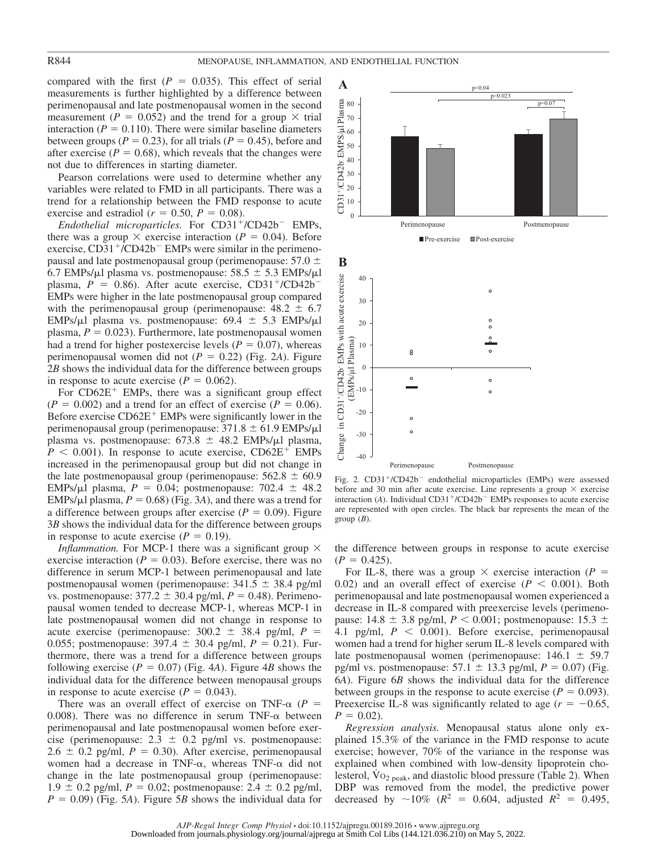compared with the first  $(P = 0.035)$ . This effect of serial measurements is further highlighted by a difference between perimenopausal and late postmenopausal women in the second measurement ( $P = 0.052$ ) and the trend for a group  $\times$  trial interaction ( $P = 0.110$ ). There were similar baseline diameters between groups ( $P = 0.23$ ), for all trials ( $P = 0.45$ ), before and after exercise ( $P = 0.68$ ), which reveals that the changes were not due to differences in starting diameter.

Pearson correlations were used to determine whether any variables were related to FMD in all participants. There was a trend for a relationship between the FMD response to acute exercise and estradiol ( $r = 0.50$ ,  $P = 0.08$ ).

Endothelial microparticles. For CD31<sup>+</sup>/CD42b<sup>-</sup> EMPs, there was a group  $\times$  exercise interaction ( $P = 0.04$ ). Before exercise,  $CD31<sup>+</sup>/CD42b<sup>-</sup>$  EMPs were similar in the perimenopausal and late postmenopausal group (perimenopause:  $57.0 \pm$ 6.7 EMPs/ $\mu$ l plasma vs. postmenopause: 58.5  $\pm$  5.3 EMPs/ $\mu$ l plasma,  $P = 0.86$ ). After acute exercise,  $CD31^{+}/CD42b^{-}$ EMPs were higher in the late postmenopausal group compared with the perimenopausal group (perimenopause:  $48.2 \pm 6.7$ EMPs/ $\mu$ l plasma vs. postmenopause: 69.4  $\pm$  5.3 EMPs/ $\mu$ l plasma,  $P = 0.023$ ). Furthermore, late postmenopausal women had a trend for higher postexercise levels ( $P = 0.07$ ), whereas perimenopausal women did not  $(P = 0.22)$  (Fig. 2*A*). Figure 2*B* shows the individual data for the difference between groups in response to acute exercise  $(P = 0.062)$ .

For CD62E<sup>+</sup> EMPs, there was a significant group effect  $(P = 0.002)$  and a trend for an effect of exercise  $(P = 0.06)$ . Before exercise CD62E<sup>+</sup> EMPs were significantly lower in the perimenopausal group (perimenopause:  $371.8 \pm 61.9$  EMPs/ $\mu$ l plasma vs. postmenopause:  $673.8 \pm 48.2$  EMPs/ $\mu$ l plasma,  $\overline{P}$  < 0.001). In response to acute exercise, CD62E<sup>+</sup> EMPs increased in the perimenopausal group but did not change in the late postmenopausal group (perimenopause:  $562.8 \pm 60.9$ EMPs/ $\mu$ l plasma,  $P = 0.04$ ; postmenopause: 702.4  $\pm$  48.2 EMPs/ $\mu$ l plasma,  $P = 0.68$ ) (Fig. 3*A*), and there was a trend for a difference between groups after exercise ( $P = 0.09$ ). Figure 3*B* shows the individual data for the difference between groups in response to acute exercise  $(P = 0.19)$ .

*Inflammation.* For MCP-1 there was a significant group  $\times$ exercise interaction ( $P = 0.03$ ). Before exercise, there was no difference in serum MCP-1 between perimenopausal and late postmenopausal women (perimenopause:  $341.5 \pm 38.4$  pg/ml vs. postmenopause:  $377.2 \pm 30.4$  pg/ml,  $P = 0.48$ ). Perimenopausal women tended to decrease MCP-1, whereas MCP-1 in late postmenopausal women did not change in response to acute exercise (perimenopause:  $300.2 \pm 38.4$  pg/ml,  $P =$ 0.055; postmenopause:  $397.4 \pm 30.4$  pg/ml,  $P = 0.21$ ). Furthermore, there was a trend for a difference between groups following exercise ( $P = 0.07$ ) (Fig. 4*A*). Figure 4*B* shows the individual data for the difference between menopausal groups in response to acute exercise  $(P = 0.043)$ .

There was an overall effect of exercise on TNF- $\alpha$  ( $P =$ 0.008). There was no difference in serum TNF- $\alpha$  between perimenopausal and late postmenopausal women before exercise (perimenopause:  $2.3 \pm 0.2$  pg/ml vs. postmenopause:  $2.6 \pm 0.2$  pg/ml,  $P = 0.30$ ). After exercise, perimenopausal women had a decrease in TNF- $\alpha$ , whereas TNF- $\alpha$  did not change in the late postmenopausal group (perimenopause:  $1.9 \pm 0.2$  pg/ml,  $P = 0.02$ ; postmenopause:  $2.4 \pm 0.2$  pg/ml,  $P = 0.09$ ) (Fig. 5*A*). Figure 5*B* shows the individual data for



Perimenopause Postmenopause Fig. 2. CD31-/CD42b endothelial microparticles (EMPs) were assessed before and 30 min after acute exercise. Line represents a group  $\times$  exercise interaction (A). Individual  $CD31^+/CD42b^-$  EMPs responses to acute exercise are represented with open circles. The black bar represents the mean of the group  $(B)$ .

the difference between groups in response to acute exercise  $(P = 0.425)$ .

For IL-8, there was a group  $\times$  exercise interaction ( $P =$ 0.02) and an overall effect of exercise  $(P < 0.001)$ . Both perimenopausal and late postmenopausal women experienced a decrease in IL-8 compared with preexercise levels (perimenopause:  $14.8 \pm 3.8$  pg/ml,  $P < 0.001$ ; postmenopause:  $15.3 \pm 1.6$ 4.1 pg/ml,  $P < 0.001$ ). Before exercise, perimenopausal women had a trend for higher serum IL-8 levels compared with late postmenopausal women (perimenopause:  $146.1 \pm 59.7$ pg/ml vs. postmenopause:  $57.1 \pm 13.3$  pg/ml,  $P = 0.07$ ) (Fig. 6*A*). Figure 6*B* shows the individual data for the difference between groups in the response to acute exercise ( $P = 0.093$ ). Preexercise IL-8 was significantly related to age  $(r = -0.65,$  $P = 0.02$ .

*Regression analysis.* Menopausal status alone only explained 15.3% of the variance in the FMD response to acute exercise; however, 70% of the variance in the response was explained when combined with low-density lipoprotein cholesterol,  $\mathrm{Vo}_{2 \text{ peak}}$ , and diastolic blood pressure (Table 2). When DBP was removed from the model, the predictive power decreased by  $\sim 10\%$  ( $R^2 = 0.604$ , adjusted  $R^2 = 0.495$ ,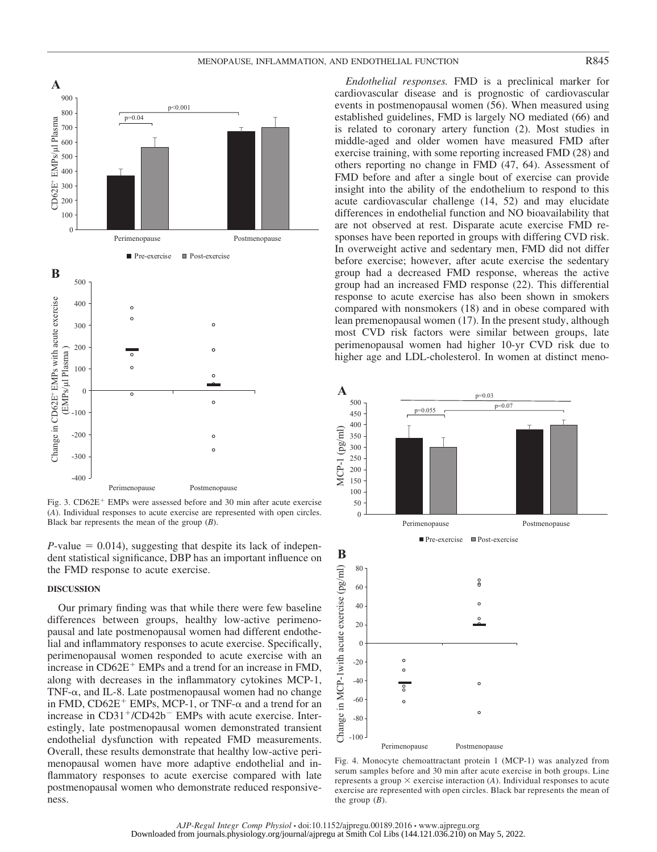### MENOPAUSE, INFLAMMATION, AND ENDOTHELIAL FUNCTION R845



Fig. 3. CD62E<sup>+</sup> EMPs were assessed before and 30 min after acute exercise (*A*). Individual responses to acute exercise are represented with open circles. Black bar represents the mean of the group (*B*).

 $P$ -value  $= 0.014$ ), suggesting that despite its lack of independent statistical significance, DBP has an important influence on the FMD response to acute exercise.

#### **DISCUSSION**

Our primary finding was that while there were few baseline differences between groups, healthy low-active perimenopausal and late postmenopausal women had different endothelial and inflammatory responses to acute exercise. Specifically, perimenopausal women responded to acute exercise with an increase in  $\text{C}D62E^+$  EMPs and a trend for an increase in FMD, along with decreases in the inflammatory cytokines MCP-1, TNF- $\alpha$ , and IL-8. Late postmenopausal women had no change in FMD,  $CD62E^+$  EMPs, MCP-1, or TNF- $\alpha$  and a trend for an increase in CD31<sup>+</sup>/CD42b<sup>-</sup> EMPs with acute exercise. Interestingly, late postmenopausal women demonstrated transient endothelial dysfunction with repeated FMD measurements. Overall, these results demonstrate that healthy low-active perimenopausal women have more adaptive endothelial and inflammatory responses to acute exercise compared with late postmenopausal women who demonstrate reduced responsiveness.

*Endothelial responses.* FMD is a preclinical marker for cardiovascular disease and is prognostic of cardiovascular events in postmenopausal women (56). When measured using established guidelines, FMD is largely NO mediated (66) and is related to coronary artery function (2). Most studies in middle-aged and older women have measured FMD after exercise training, with some reporting increased FMD (28) and others reporting no change in FMD (47, 64). Assessment of FMD before and after a single bout of exercise can provide insight into the ability of the endothelium to respond to this acute cardiovascular challenge (14, 52) and may elucidate differences in endothelial function and NO bioavailability that are not observed at rest. Disparate acute exercise FMD responses have been reported in groups with differing CVD risk. In overweight active and sedentary men, FMD did not differ before exercise; however, after acute exercise the sedentary group had a decreased FMD response, whereas the active group had an increased FMD response (22). This differential response to acute exercise has also been shown in smokers compared with nonsmokers (18) and in obese compared with lean premenopausal women (17). In the present study, although most CVD risk factors were similar between groups, late perimenopausal women had higher 10-yr CVD risk due to higher age and LDL-cholesterol. In women at distinct meno-



Fig. 4. Monocyte chemoattractant protein 1 (MCP-1) was analyzed from serum samples before and 30 min after acute exercise in both groups. Line represents a group  $\times$  exercise interaction (A). Individual responses to acute exercise are represented with open circles. Black bar represents the mean of the group (*B*).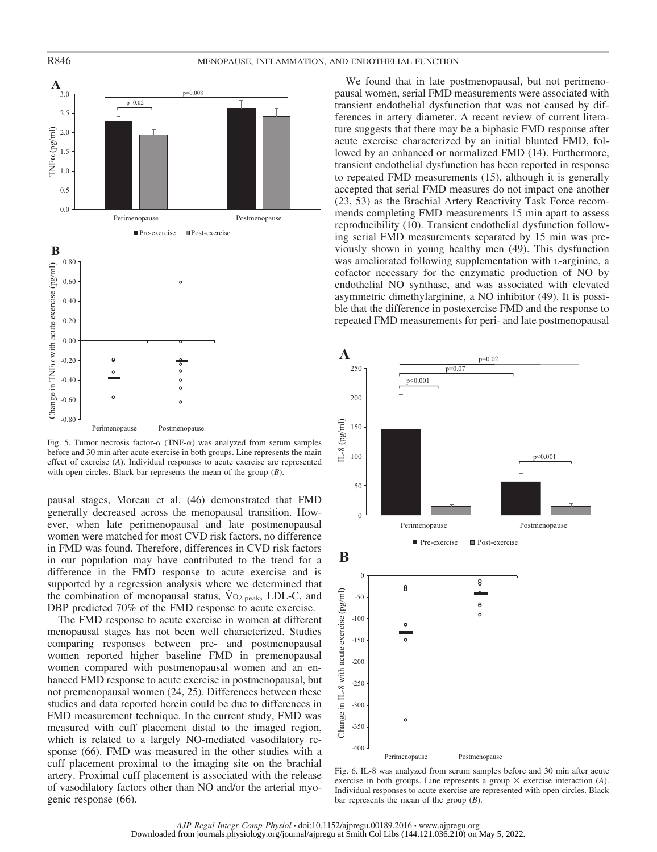



Fig. 5. Tumor necrosis factor- $\alpha$  (TNF- $\alpha$ ) was analyzed from serum samples before and 30 min after acute exercise in both groups. Line represents the main effect of exercise (*A*). Individual responses to acute exercise are represented with open circles. Black bar represents the mean of the group (*B*).

pausal stages, Moreau et al. (46) demonstrated that FMD generally decreased across the menopausal transition. However, when late perimenopausal and late postmenopausal women were matched for most CVD risk factors, no difference in FMD was found. Therefore, differences in CVD risk factors in our population may have contributed to the trend for a difference in the FMD response to acute exercise and is supported by a regression analysis where we determined that the combination of menopausal status,  $Vo<sub>2</sub>$ <sub>neak</sub>, LDL-C, and DBP predicted 70% of the FMD response to acute exercise.

The FMD response to acute exercise in women at different menopausal stages has not been well characterized. Studies comparing responses between pre- and postmenopausal women reported higher baseline FMD in premenopausal women compared with postmenopausal women and an enhanced FMD response to acute exercise in postmenopausal, but not premenopausal women (24, 25). Differences between these studies and data reported herein could be due to differences in FMD measurement technique. In the current study, FMD was measured with cuff placement distal to the imaged region, which is related to a largely NO-mediated vasodilatory response (66). FMD was measured in the other studies with a cuff placement proximal to the imaging site on the brachial artery. Proximal cuff placement is associated with the release of vasodilatory factors other than NO and/or the arterial myogenic response (66).

We found that in late postmenopausal, but not perimenopausal women, serial FMD measurements were associated with transient endothelial dysfunction that was not caused by differences in artery diameter. A recent review of current literature suggests that there may be a biphasic FMD response after acute exercise characterized by an initial blunted FMD, followed by an enhanced or normalized FMD (14). Furthermore, transient endothelial dysfunction has been reported in response to repeated FMD measurements (15), although it is generally accepted that serial FMD measures do not impact one another (23, 53) as the Brachial Artery Reactivity Task Force recommends completing FMD measurements 15 min apart to assess reproducibility (10). Transient endothelial dysfunction following serial FMD measurements separated by 15 min was previously shown in young healthy men (49). This dysfunction was ameliorated following supplementation with L-arginine, a cofactor necessary for the enzymatic production of NO by endothelial NO synthase, and was associated with elevated asymmetric dimethylarginine, a NO inhibitor (49). It is possible that the difference in postexercise FMD and the response to repeated FMD measurements for peri- and late postmenopausal



Fig. 6. IL-8 was analyzed from serum samples before and 30 min after acute exercise in both groups. Line represents a group  $\times$  exercise interaction (A). Individual responses to acute exercise are represented with open circles. Black bar represents the mean of the group (*B*).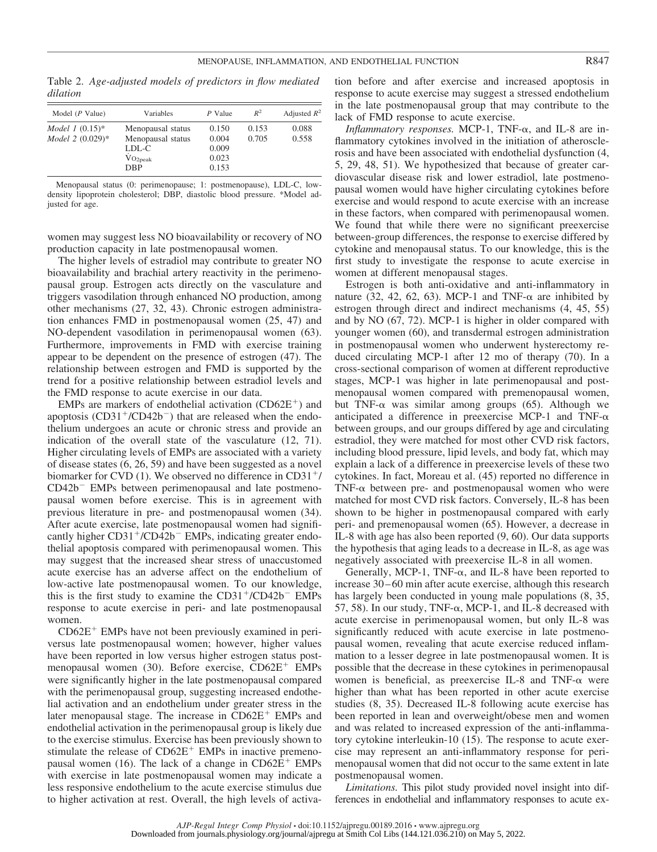Table 2. *Age-adjusted models of predictors in flow mediated dilation*

| Model $(P$ Value)         | Variables           | P Value | $R^2$ | Adjusted $R^2$ |
|---------------------------|---------------------|---------|-------|----------------|
| <i>Model 1</i> $(0.15)^*$ | Menopausal status   | 0.150   | 0.153 | 0.088          |
| <i>Model 2</i> $(0.029)*$ | Menopausal status   | 0.004   | 0.705 | 0.558          |
|                           | LDL-C               | 0.009   |       |                |
|                           | VO <sub>2peak</sub> | 0.023   |       |                |
|                           | <b>DRP</b>          | 0.153   |       |                |

Menopausal status (0: perimenopause; 1: postmenopause), LDL-C, lowdensity lipoprotein cholesterol; DBP, diastolic blood pressure. \*Model adjusted for age.

women may suggest less NO bioavailability or recovery of NO production capacity in late postmenopausal women.

The higher levels of estradiol may contribute to greater NO bioavailability and brachial artery reactivity in the perimenopausal group. Estrogen acts directly on the vasculature and triggers vasodilation through enhanced NO production, among other mechanisms (27, 32, 43). Chronic estrogen administration enhances FMD in postmenopausal women (25, 47) and NO-dependent vasodilation in perimenopausal women (63). Furthermore, improvements in FMD with exercise training appear to be dependent on the presence of estrogen (47). The relationship between estrogen and FMD is supported by the trend for a positive relationship between estradiol levels and the FMD response to acute exercise in our data.

EMPs are markers of endothelial activation  $(CD62E<sup>+</sup>)$  and apoptosis  $(CD31<sup>+</sup>/CD42b<sup>-</sup>)$  that are released when the endothelium undergoes an acute or chronic stress and provide an indication of the overall state of the vasculature (12, 71). Higher circulating levels of EMPs are associated with a variety of disease states (6, 26, 59) and have been suggested as a novel biomarker for CVD (1). We observed no difference in  $CD31<sup>+</sup>/$  $CD42b$ <sup>-</sup> EMPs between perimenopausal and late postmenopausal women before exercise. This is in agreement with previous literature in pre- and postmenopausal women (34). After acute exercise, late postmenopausal women had significantly higher CD31<sup>+</sup>/CD42b<sup>-</sup> EMPs, indicating greater endothelial apoptosis compared with perimenopausal women. This may suggest that the increased shear stress of unaccustomed acute exercise has an adverse affect on the endothelium of low-active late postmenopausal women. To our knowledge, this is the first study to examine the  $CD31<sup>+</sup>/CD42b<sup>-</sup>$  EMPs response to acute exercise in peri- and late postmenopausal women.

CD62E- EMPs have not been previously examined in periversus late postmenopausal women; however, higher values have been reported in low versus higher estrogen status postmenopausal women (30). Before exercise, CD62E<sup>+</sup> EMPs were significantly higher in the late postmenopausal compared with the perimenopausal group, suggesting increased endothelial activation and an endothelium under greater stress in the later menopausal stage. The increase in CD62E<sup>+</sup> EMPs and endothelial activation in the perimenopausal group is likely due to the exercise stimulus. Exercise has been previously shown to stimulate the release of  $C\text{D}62E^+$  EMPs in inactive premenopausal women (16). The lack of a change in  $CD62E^+$  EMPs with exercise in late postmenopausal women may indicate a less responsive endothelium to the acute exercise stimulus due to higher activation at rest. Overall, the high levels of activation before and after exercise and increased apoptosis in response to acute exercise may suggest a stressed endothelium in the late postmenopausal group that may contribute to the lack of FMD response to acute exercise.

*Inflammatory responses.* MCP-1, TNF- $\alpha$ , and IL-8 are inflammatory cytokines involved in the initiation of atherosclerosis and have been associated with endothelial dysfunction (4, 5, 29, 48, 51). We hypothesized that because of greater cardiovascular disease risk and lower estradiol, late postmenopausal women would have higher circulating cytokines before exercise and would respond to acute exercise with an increase in these factors, when compared with perimenopausal women. We found that while there were no significant preexercise between-group differences, the response to exercise differed by cytokine and menopausal status. To our knowledge, this is the first study to investigate the response to acute exercise in women at different menopausal stages.

Estrogen is both anti-oxidative and anti-inflammatory in nature (32, 42, 62, 63). MCP-1 and TNF- $\alpha$  are inhibited by estrogen through direct and indirect mechanisms (4, 45, 55) and by NO (67, 72). MCP-1 is higher in older compared with younger women (60), and transdermal estrogen administration in postmenopausal women who underwent hysterectomy reduced circulating MCP-1 after 12 mo of therapy (70). In a cross-sectional comparison of women at different reproductive stages, MCP-1 was higher in late perimenopausal and postmenopausal women compared with premenopausal women, but TNF- $\alpha$  was similar among groups (65). Although we anticipated a difference in preexercise MCP-1 and TNF- $\alpha$ between groups, and our groups differed by age and circulating estradiol, they were matched for most other CVD risk factors, including blood pressure, lipid levels, and body fat, which may explain a lack of a difference in preexercise levels of these two cytokines. In fact, Moreau et al. (45) reported no difference in TNF- $\alpha$  between pre- and postmenopausal women who were matched for most CVD risk factors. Conversely, IL-8 has been shown to be higher in postmenopausal compared with early peri- and premenopausal women (65). However, a decrease in IL-8 with age has also been reported (9, 60). Our data supports the hypothesis that aging leads to a decrease in IL-8, as age was negatively associated with preexercise IL-8 in all women.

Generally, MCP-1, TNF- $\alpha$ , and IL-8 have been reported to increase 30 – 60 min after acute exercise, although this research has largely been conducted in young male populations (8, 35, 57, 58). In our study, TNF- $\alpha$ , MCP-1, and IL-8 decreased with acute exercise in perimenopausal women, but only IL-8 was significantly reduced with acute exercise in late postmenopausal women, revealing that acute exercise reduced inflammation to a lesser degree in late postmenopausal women. It is possible that the decrease in these cytokines in perimenopausal women is beneficial, as preexercise IL-8 and TNF- $\alpha$  were higher than what has been reported in other acute exercise studies (8, 35). Decreased IL-8 following acute exercise has been reported in lean and overweight/obese men and women and was related to increased expression of the anti-inflammatory cytokine interleukin-10 (15). The response to acute exercise may represent an anti-inflammatory response for perimenopausal women that did not occur to the same extent in late postmenopausal women.

*Limitations.* This pilot study provided novel insight into differences in endothelial and inflammatory responses to acute ex-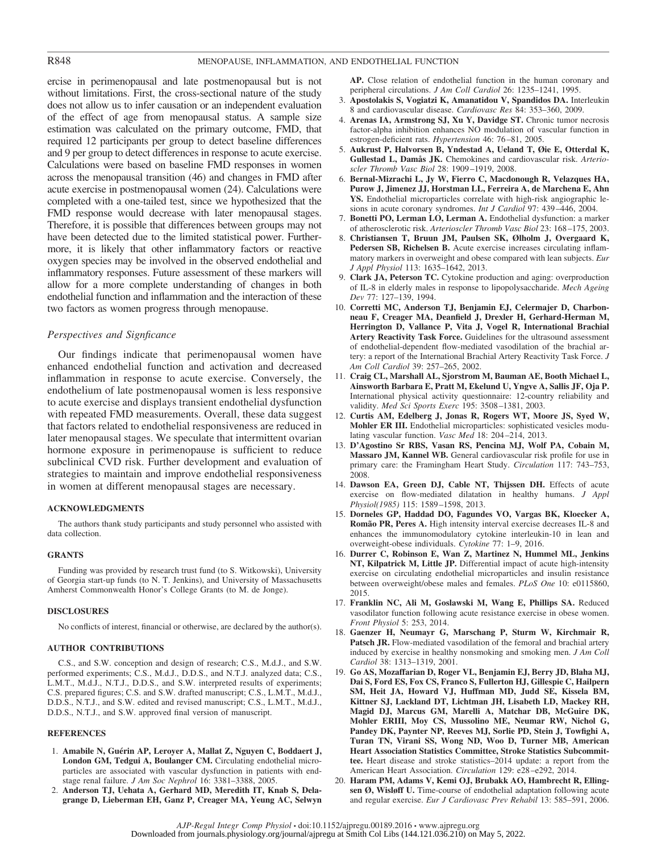ercise in perimenopausal and late postmenopausal but is not without limitations. First, the cross-sectional nature of the study does not allow us to infer causation or an independent evaluation of the effect of age from menopausal status. A sample size estimation was calculated on the primary outcome, FMD, that required 12 participants per group to detect baseline differences and 9 per group to detect differences in response to acute exercise. Calculations were based on baseline FMD responses in women across the menopausal transition (46) and changes in FMD after acute exercise in postmenopausal women (24). Calculations were completed with a one-tailed test, since we hypothesized that the FMD response would decrease with later menopausal stages. Therefore, it is possible that differences between groups may not have been detected due to the limited statistical power. Furthermore, it is likely that other inflammatory factors or reactive oxygen species may be involved in the observed endothelial and inflammatory responses. Future assessment of these markers will allow for a more complete understanding of changes in both endothelial function and inflammation and the interaction of these two factors as women progress through menopause.

#### *Perspectives and Signficance*

Our findings indicate that perimenopausal women have enhanced endothelial function and activation and decreased inflammation in response to acute exercise. Conversely, the endothelium of late postmenopausal women is less responsive to acute exercise and displays transient endothelial dysfunction with repeated FMD measurements. Overall, these data suggest that factors related to endothelial responsiveness are reduced in later menopausal stages. We speculate that intermittent ovarian hormone exposure in perimenopause is sufficient to reduce subclinical CVD risk. Further development and evaluation of strategies to maintain and improve endothelial responsiveness in women at different menopausal stages are necessary.

#### **ACKNOWLEDGMENTS**

The authors thank study participants and study personnel who assisted with data collection.

#### **GRANTS**

Funding was provided by research trust fund (to S. Witkowski), University of Georgia start-up funds (to N. T. Jenkins), and University of Massachusetts Amherst Commonwealth Honor's College Grants (to M. de Jonge).

#### **DISCLOSURES**

No conflicts of interest, financial or otherwise, are declared by the author(s).

#### **AUTHOR CONTRIBUTIONS**

C.S., and S.W. conception and design of research; C.S., M.d.J., and S.W. performed experiments; C.S., M.d.J., D.D.S., and N.T.J. analyzed data; C.S., L.M.T., M.d.J., N.T.J., D.D.S., and S.W. interpreted results of experiments; C.S. prepared figures; C.S. and S.W. drafted manuscript; C.S., L.M.T., M.d.J., D.D.S., N.T.J., and S.W. edited and revised manuscript; C.S., L.M.T., M.d.J., D.D.S., N.T.J., and S.W. approved final version of manuscript.

#### **REFERENCES**

- 1. **Amabile N, Guérin AP, Leroyer A, Mallat Z, Nguyen C, Boddaert J, London GM, Tedgui A, Boulanger CM.** Circulating endothelial microparticles are associated with vascular dysfunction in patients with endstage renal failure. *J Am Soc Nephrol* 16: 3381–3388, 2005.
- 2. **Anderson TJ, Uehata A, Gerhard MD, Meredith IT, Knab S, Delagrange D, Lieberman EH, Ganz P, Creager MA, Yeung AC, Selwyn**

**AP.** Close relation of endothelial function in the human coronary and peripheral circulations. *J Am Coll Cardiol* 26: 1235–1241, 1995.

- 3. **Apostolakis S, Vogiatzi K, Amanatidou V, Spandidos DA.** Interleukin 8 and cardiovascular disease. *Cardiovasc Res* 84: 353–360, 2009.
- 4. **Arenas IA, Armstrong SJ, Xu Y, Davidge ST.** Chronic tumor necrosis factor-alpha inhibition enhances NO modulation of vascular function in estrogen-deficient rats. *Hypertension* 46: 76 –81, 2005.
- 5. **Aukrust P, Halvorsen B, Yndestad A, Ueland T, Øie E, Otterdal K, Gullestad L, Damås JK.** Chemokines and cardiovascular risk. *Arterioscler Thromb Vasc Biol* 28: 1909 –1919, 2008.
- 6. **Bernal-Mizrachi L, Jy W, Fierro C, Macdonough R, Velazques HA, Purow J, Jimenez JJ, Horstman LL, Ferreira A, de Marchena E, Ahn YS.** Endothelial microparticles correlate with high-risk angiographic lesions in acute coronary syndromes. *Int J Cardiol* 97: 439 –446, 2004.
- 7. **Bonetti PO, Lerman LO, Lerman A.** Endothelial dysfunction: a marker of atherosclerotic risk. *Arterioscler Thromb Vasc Biol* 23: 168 –175, 2003.
- 8. **Christiansen T, Bruun JM, Paulsen SK, Ølholm J, Overgaard K, Pedersen SB, Richelsen B.** Acute exercise increases circulating inflammatory markers in overweight and obese compared with lean subjects. *Eur J Appl Physiol* 113: 1635–1642, 2013.
- 9. **Clark JA, Peterson TC.** Cytokine production and aging: overproduction of IL-8 in elderly males in response to lipopolysaccharide. *Mech Ageing Dev* 77: 127–139, 1994.
- 10. **Corretti MC, Anderson TJ, Benjamin EJ, Celermajer D, Charbonneau F, Creager MA, Deanfield J, Drexler H, Gerhard-Herman M, Herrington D, Vallance P, Vita J, Vogel R, International Brachial Artery Reactivity Task Force.** Guidelines for the ultrasound assessment of endothelial-dependent flow-mediated vasodilation of the brachial artery: a report of the International Brachial Artery Reactivity Task Force. *J Am Coll Cardiol* 39: 257–265, 2002.
- 11. **Craig CL, Marshall AL, Sjorstrom M, Bauman AE, Booth Michael L, Ainsworth Barbara E, Pratt M, Ekelund U, Yngve A, Sallis JF, Oja P.** International physical activity questionnaire: 12-country reliability and validity. *Med Sci Sports Exerc* 195: 3508 –1381, 2003.
- 12. **Curtis AM, Edelberg J, Jonas R, Rogers WT, Moore JS, Syed W, Mohler ER III.** Endothelial microparticles: sophisticated vesicles modulating vascular function. *Vasc Med* 18: 204 –214, 2013.
- 13. **D'Agostino Sr RBS, Vasan RS, Pencina MJ, Wolf PA, Cobain M, Massaro JM, Kannel WB.** General cardiovascular risk profile for use in primary care: the Framingham Heart Study. *Circulation* 117: 743–753, 2008.
- 14. **Dawson EA, Green DJ, Cable NT, Thijssen DH.** Effects of acute exercise on flow-mediated dilatation in healthy humans. *J Appl Physiol(1985)* 115: 1589 –1598, 2013.
- 15. **Dorneles GP, Haddad DO, Fagundes VO, Vargas BK, Kloecker A, Romão PR, Peres A.** High intensity interval exercise decreases IL-8 and enhances the immunomodulatory cytokine interleukin-10 in lean and overweight-obese individuals. *Cytokine* 77: 1–9, 2016.
- 16. **Durrer C, Robinson E, Wan Z, Martinez N, Hummel ML, Jenkins NT, Kilpatrick M, Little JP.** Differential impact of acute high-intensity exercise on circulating endothelial microparticles and insulin resistance between overweight/obese males and females. *PLoS One* 10: e0115860, 2015.
- 17. **Franklin NC, Ali M, Goslawski M, Wang E, Phillips SA.** Reduced vasodilator function following acute resistance exercise in obese women. *Front Physiol* 5: 253, 2014.
- 18. **Gaenzer H, Neumayr G, Marschang P, Sturm W, Kirchmair R,** Patsch JR. Flow-mediated vasodilation of the femoral and brachial artery induced by exercise in healthy nonsmoking and smoking men. *J Am Coll Cardiol* 38: 1313–1319, 2001.
- 19. **Go AS, Mozaffarian D, Roger VL, Benjamin EJ, Berry JD, Blaha MJ, Dai S, Ford ES, Fox CS, Franco S, Fullerton HJ, Gillespie C, Hailpern SM, Heit JA, Howard VJ, Huffman MD, Judd SE, Kissela BM, Kittner SJ, Lackland DT, Lichtman JH, Lisabeth LD, Mackey RH, Magid DJ, Marcus GM, Marelli A, Matchar DB, McGuire DK, Mohler ERIII, Moy CS, Mussolino ME, Neumar RW, Nichol G, Pandey DK, Paynter NP, Reeves MJ, Sorlie PD, Stein J, Towfighi A, Turan TN, Virani SS, Wong ND, Woo D, Turner MB, American Heart Association Statistics Committee, Stroke Statistics Subcommittee.** Heart disease and stroke statistics–2014 update: a report from the American Heart Association. *Circulation* 129: e28 –e292, 2014.
- 20. **Haram PM, Adams V, Kemi OJ, Brubakk AO, Hambrecht R, Ellingsen Ø, Wisløff U.** Time-course of endothelial adaptation following acute and regular exercise. *Eur J Cardiovasc Prev Rehabil* 13: 585–591, 2006.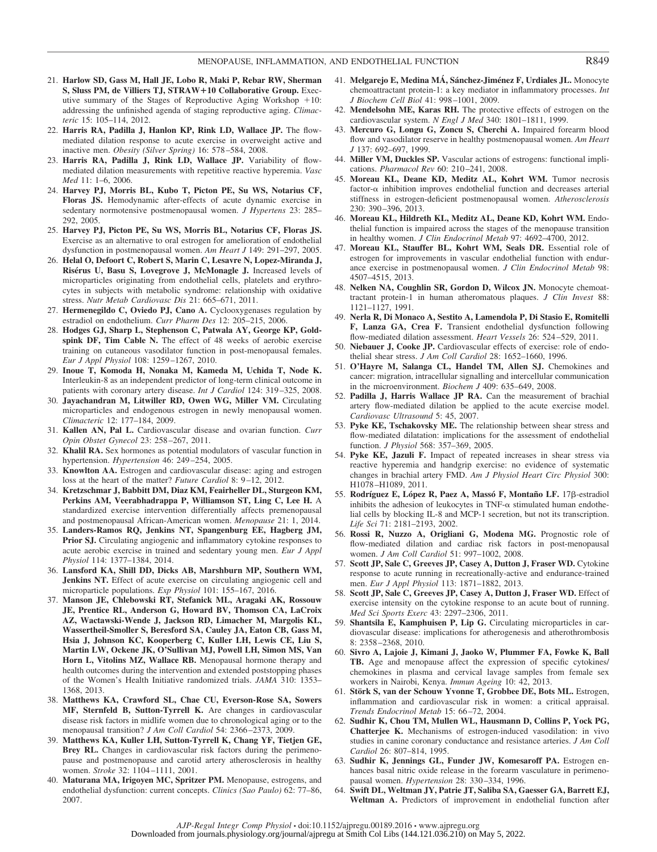- 21. **Harlow SD, Gass M, Hall JE, Lobo R, Maki P, Rebar RW, Sherman S, Sluss PM, de Villiers TJ, STRAW**-**10 Collaborative Group.** Executive summary of the Stages of Reproductive Aging Workshop  $+10$ : addressing the unfinished agenda of staging reproductive aging. *Climacteric* 15: 105–114, 2012.
- 22. **Harris RA, Padilla J, Hanlon KP, Rink LD, Wallace JP.** The flowmediated dilation response to acute exercise in overweight active and inactive men. *Obesity (Silver Spring)* 16: 578 –584, 2008.
- 23. **Harris RA, Padilla J, Rink LD, Wallace JP.** Variability of flowmediated dilation measurements with repetitive reactive hyperemia. *Vasc Med* 11: 1–6, 2006.
- 24. **Harvey PJ, Morris BL, Kubo T, Picton PE, Su WS, Notarius CF, Floras JS.** Hemodynamic after-effects of acute dynamic exercise in sedentary normotensive postmenopausal women. *J Hypertens* 23: 285– 292, 2005.
- 25. **Harvey PJ, Picton PE, Su WS, Morris BL, Notarius CF, Floras JS.** Exercise as an alternative to oral estrogen for amelioration of endothelial dysfunction in postmenopausal women. *Am Heart J* 149: 291–297, 2005.
- 26. **Helal O, Defoort C, Robert S, Marin C, Lesavre N, Lopez-Miranda J, Risérus U, Basu S, Lovegrove J, McMonagle J.** Increased levels of microparticles originating from endothelial cells, platelets and erythrocytes in subjects with metabolic syndrome: relationship with oxidative stress. *Nutr Metab Cardiovasc Dis* 21: 665–671, 2011.
- 27. **Hermenegildo C, Oviedo PJ, Cano A.** Cyclooxygenases regulation by estradiol on endothelium. *Curr Pharm Des* 12: 205–215, 2006.
- 28. **Hodges GJ, Sharp L, Stephenson C, Patwala AY, George KP, Goldspink DF, Tim Cable N.** The effect of 48 weeks of aerobic exercise training on cutaneous vasodilator function in post-menopausal females. *Eur J Appl Physiol* 108: 1259 –1267, 2010.
- 29. **Inoue T, Komoda H, Nonaka M, Kameda M, Uchida T, Node K.** Interleukin-8 as an independent predictor of long-term clinical outcome in patients with coronary artery disease. *Int J Cardiol* 124: 319 –325, 2008.
- 30. **Jayachandran M, Litwiller RD, Owen WG, Miller VM.** Circulating microparticles and endogenous estrogen in newly menopausal women. *Climacteric* 12: 177–184, 2009.
- 31. **Kallen AN, Pal L.** Cardiovascular disease and ovarian function. *Curr Opin Obstet Gynecol* 23: 258 –267, 2011.
- 32. **Khalil RA.** Sex hormones as potential modulators of vascular function in hypertension. *Hypertension* 46: 249 –254, 2005.
- 33. **Knowlton AA.** Estrogen and cardiovascular disease: aging and estrogen loss at the heart of the matter? *Future Cardiol* 8: 9–12, 2012.
- 34. **Kretzschmar J, Babbitt DM, Diaz KM, Feairheller DL, Sturgeon KM, Perkins AM, Veerabhadrappa P, Williamson ST, Ling C, Lee H.** A standardized exercise intervention differentially affects premenopausal and postmenopausal African-American women. *Menopause* 21: 1, 2014.
- 35. **Landers-Ramos RQ, Jenkins NT, Spangenburg EE, Hagberg JM,** Prior SJ. Circulating angiogenic and inflammatory cytokine responses to acute aerobic exercise in trained and sedentary young men. *Eur J Appl Physiol* 114: 1377–1384, 2014.
- 36. **Lansford KA, Shill DD, Dicks AB, Marshburn MP, Southern WM, Jenkins NT.** Effect of acute exercise on circulating angiogenic cell and microparticle populations. *Exp Physiol* 101: 155–167, 2016.
- 37. **Manson JE, Chlebowski RT, Stefanick ML, Aragaki AK, Rossouw JE, Prentice RL, Anderson G, Howard BV, Thomson CA, LaCroix AZ, Wactawski-Wende J, Jackson RD, Limacher M, Margolis KL, Wassertheil-Smoller S, Beresford SA, Cauley JA, Eaton CB, Gass M, Hsia J, Johnson KC, Kooperberg C, Kuller LH, Lewis CE, Liu S, Martin LW, Ockene JK, O'Sullivan MJ, Powell LH, Simon MS, Van Horn L, Vitolins MZ, Wallace RB.** Menopausal hormone therapy and health outcomes during the intervention and extended poststopping phases of the Women's Health Initiative randomized trials. *JAMA* 310: 1353– 1368, 2013.
- 38. **Matthews KA, Crawford SL, Chae CU, Everson-Rose SA, Sowers MF, Sternfeld B, Sutton-Tyrrell K.** Are changes in cardiovascular disease risk factors in midlife women due to chronological aging or to the menopausal transition? *J Am Coll Cardiol* 54: 2366 –2373, 2009.
- 39. **Matthews KA, Kuller LH, Sutton-Tyrrell K, Chang YF, Tietjen GE,** Brey RL. Changes in cardiovascular risk factors during the perimenopause and postmenopause and carotid artery atherosclerosis in healthy women. *Stroke* 32: 1104 –1111, 2001.
- 40. **Maturana MA, Irigoyen MC, Spritzer PM.** Menopause, estrogens, and endothelial dysfunction: current concepts. *Clinics (Sao Paulo)* 62: 77–86, 2007.
- 41. **Melgarejo E, Medina MÁ, Sánchez-Jiménez F, Urdiales JL.** Monocyte chemoattractant protein-1: a key mediator in inflammatory processes. *Int J Biochem Cell Biol* 41: 998 –1001, 2009.
- 42. **Mendelsohn ME, Karas RH.** The protective effects of estrogen on the cardiovascular system. *N Engl J Med* 340: 1801–1811, 1999.
- 43. **Mercuro G, Longu G, Zoncu S, Cherchi A.** Impaired forearm blood flow and vasodilator reserve in healthy postmenopausal women. *Am Heart J* 137: 692–697, 1999.
- 44. **Miller VM, Duckles SP.** Vascular actions of estrogens: functional implications. *Pharmacol Rev* 60: 210 –241, 2008.
- 45. **Moreau KL, Deane KD, Meditz AL, Kohrt WM.** Tumor necrosis factor- $\alpha$  inhibition improves endothelial function and decreases arterial stiffness in estrogen-deficient postmenopausal women. *Atherosclerosis* 230: 390 –396, 2013.
- 46. **Moreau KL, Hildreth KL, Meditz AL, Deane KD, Kohrt WM.** Endothelial function is impaired across the stages of the menopause transition in healthy women. *J Clin Endocrinol Metab* 97: 4692–4700, 2012.
- 47. **Moreau KL, Stauffer BL, Kohrt WM, Seals DR.** Essential role of estrogen for improvements in vascular endothelial function with endurance exercise in postmenopausal women. *J Clin Endocrinol Metab* 98: 4507–4515, 2013.
- 48. **Nelken NA, Coughlin SR, Gordon D, Wilcox JN.** Monocyte chemoattractant protein-1 in human atheromatous plaques. *J Clin Invest* 88: 1121–1127, 1991.
- 49. **Nerla R, Di Monaco A, Sestito A, Lamendola P, Di Stasio E, Romitelli F, Lanza GA, Crea F.** Transient endothelial dysfunction following flow-mediated dilation assessment. *Heart Vessels* 26: 524 –529, 2011.
- 50. **Niebauer J, Cooke JP.** Cardiovascular effects of exercise: role of endothelial shear stress. *J Am Coll Cardiol* 28: 1652–1660, 1996.
- 51. **O'Hayre M, Salanga CL, Handel TM, Allen SJ.** Chemokines and cancer: migration, intracellular signalling and intercellular communication in the microenvironment. *Biochem J* 409: 635–649, 2008.
- 52. **Padilla J, Harris Wallace JP RA.** Can the measurement of brachial artery flow-mediated dilation be applied to the acute exercise model. *Cardiovasc Ultrasound* 5: 45, 2007.
- 53. **Pyke KE, Tschakovsky ME.** The relationship between shear stress and flow-mediated dilatation: implications for the assessment of endothelial function. *J Physiol* 568: 357–369, 2005.
- 54. **Pyke KE, Jazuli F.** Impact of repeated increases in shear stress via reactive hyperemia and handgrip exercise: no evidence of systematic changes in brachial artery FMD. *Am J Physiol Heart Circ Physiol* 300: H1078 –H1089, 2011.
- 55. Rodríguez E, López R, Paez A, Massó F, Montaño LF. 17<sub>B</sub>-estradiol inhibits the adhesion of leukocytes in TNF- $\alpha$  stimulated human endothelial cells by blocking IL-8 and MCP-1 secretion, but not its transcription. *Life Sci* 71: 2181–2193, 2002.
- 56. **Rossi R, Nuzzo A, Origliani G, Modena MG.** Prognostic role of flow-mediated dilation and cardiac risk factors in post-menopausal women. *J Am Coll Cardiol* 51: 997–1002, 2008.
- 57. **Scott JP, Sale C, Greeves JP, Casey A, Dutton J, Fraser WD.** Cytokine response to acute running in recreationally-active and endurance-trained men. *Eur J Appl Physiol* 113: 1871–1882, 2013.
- 58. **Scott JP, Sale C, Greeves JP, Casey A, Dutton J, Fraser WD.** Effect of exercise intensity on the cytokine response to an acute bout of running. *Med Sci Sports Exerc* 43: 2297–2306, 2011.
- 59. **Shantsila E, Kamphuisen P, Lip G.** Circulating microparticles in cardiovascular disease: implications for atherogenesis and atherothrombosis 8: 2358 –2368, 2010.
- 60. **Sivro A, Lajoie J, Kimani J, Jaoko W, Plummer FA, Fowke K, Ball TB.** Age and menopause affect the expression of specific cytokines/ chemokines in plasma and cervical lavage samples from female sex workers in Nairobi, Kenya. *Immun Ageing* 10: 42, 2013.
- 61. **Störk S, van der Schouw Yvonne T, Grobbee DE, Bots ML.** Estrogen, inflammation and cardiovascular risk in women: a critical appraisal. *Trends Endocrinol Metab* 15: 66 –72, 2004.
- 62. **Sudhir K, Chou TM, Mullen WL, Hausmann D, Collins P, Yock PG, Chatterjee K.** Mechanisms of estrogen-induced vasodilation: in vivo studies in canine coronary conductance and resistance arteries. *J Am Coll Cardiol* 26: 807–814, 1995.
- 63. **Sudhir K, Jennings GL, Funder JW, Komesaroff PA.** Estrogen enhances basal nitric oxide release in the forearm vasculature in perimenopausal women. *Hypertension* 28: 330 –334, 1996.
- 64. **Swift DL, Weltman JY, Patrie JT, Saliba SA, Gaesser GA, Barrett EJ, Weltman A.** Predictors of improvement in endothelial function after